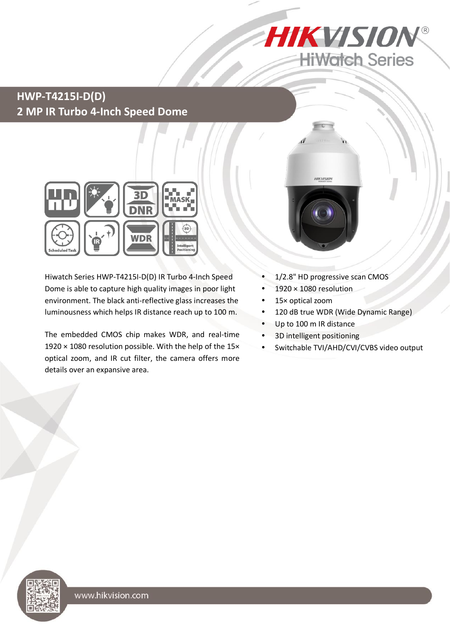

## **HWP-T4215I-D(D) 2 MP IR Turbo 4-Inch Speed Dome**



Hiwatch Series HWP-T4215I-D(D) IR Turbo 4-Inch Speed Dome is able to capture high quality images in poor light environment. The black anti-reflective glass increases the luminousness which helps IR distance reach up to 100 m.

The embedded CMOS chip makes WDR, and real-time 1920 × 1080 resolution possible. With the help of the 15× optical zoom, and IR cut filter, the camera offers more details over an expansive area.



- 1/2.8" HD progressive scan CMOS
- 1920 × 1080 resolution
- 15× optical zoom
- 120 dB true WDR (Wide Dynamic Range)
- Up to 100 m IR distance
- 3D intelligent positioning
- Switchable TVI/AHD/CVI/CVBS video output

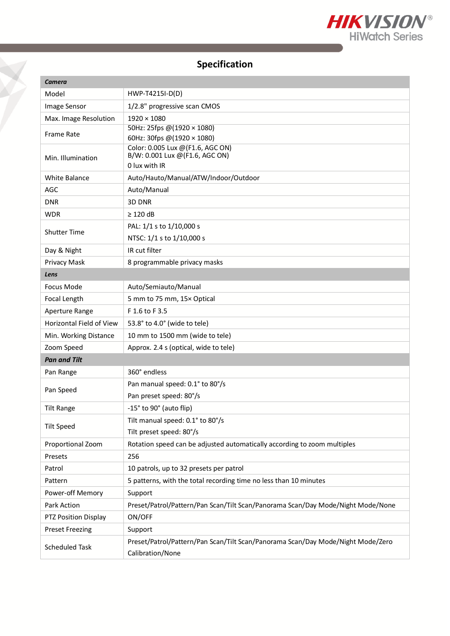

# **Specification**

| <b>Camera</b>            |                                                                                                     |  |
|--------------------------|-----------------------------------------------------------------------------------------------------|--|
| Model                    | HWP-T4215I-D(D)                                                                                     |  |
| Image Sensor             | 1/2.8" progressive scan CMOS                                                                        |  |
| Max. Image Resolution    | $1920 \times 1080$                                                                                  |  |
| <b>Frame Rate</b>        | 50Hz: 25fps @(1920 × 1080)                                                                          |  |
|                          | 60Hz: 30fps @(1920 × 1080)<br>Color: 0.005 Lux @ (F1.6, AGC ON)                                     |  |
| Min. Illumination        | B/W: 0.001 Lux @(F1.6, AGC ON)                                                                      |  |
|                          | 0 lux with IR                                                                                       |  |
| <b>White Balance</b>     | Auto/Hauto/Manual/ATW/Indoor/Outdoor                                                                |  |
| AGC                      | Auto/Manual                                                                                         |  |
| <b>DNR</b>               | 3D DNR                                                                                              |  |
| <b>WDR</b>               | $\geq$ 120 dB                                                                                       |  |
| <b>Shutter Time</b>      | PAL: 1/1 s to 1/10,000 s                                                                            |  |
|                          | NTSC: 1/1 s to 1/10,000 s                                                                           |  |
| Day & Night              | IR cut filter                                                                                       |  |
| Privacy Mask             | 8 programmable privacy masks                                                                        |  |
| Lens                     |                                                                                                     |  |
| Focus Mode               | Auto/Semiauto/Manual                                                                                |  |
| Focal Length             | 5 mm to 75 mm, 15x Optical                                                                          |  |
| Aperture Range           | F 1.6 to F 3.5                                                                                      |  |
| Horizontal Field of View | 53.8° to 4.0° (wide to tele)                                                                        |  |
| Min. Working Distance    | 10 mm to 1500 mm (wide to tele)                                                                     |  |
| Zoom Speed               | Approx. 2.4 s (optical, wide to tele)                                                               |  |
| <b>Pan and Tilt</b>      |                                                                                                     |  |
| Pan Range                | 360° endless                                                                                        |  |
| Pan Speed                | Pan manual speed: 0.1° to 80°/s                                                                     |  |
|                          | Pan preset speed: 80°/s                                                                             |  |
| <b>Tilt Range</b>        | -15° to 90° (auto flip)                                                                             |  |
| <b>Tilt Speed</b>        | Tilt manual speed: 0.1° to 80°/s                                                                    |  |
|                          | Tilt preset speed: 80°/s                                                                            |  |
| Proportional Zoom        | Rotation speed can be adjusted automatically according to zoom multiples                            |  |
| Presets                  | 256                                                                                                 |  |
| Patrol                   | 10 patrols, up to 32 presets per patrol                                                             |  |
| Pattern                  | 5 patterns, with the total recording time no less than 10 minutes                                   |  |
| Power-off Memory         | Support                                                                                             |  |
| Park Action              | Preset/Patrol/Pattern/Pan Scan/Tilt Scan/Panorama Scan/Day Mode/Night Mode/None                     |  |
| PTZ Position Display     | ON/OFF                                                                                              |  |
| <b>Preset Freezing</b>   | Support                                                                                             |  |
| <b>Scheduled Task</b>    | Preset/Patrol/Pattern/Pan Scan/Tilt Scan/Panorama Scan/Day Mode/Night Mode/Zero<br>Calibration/None |  |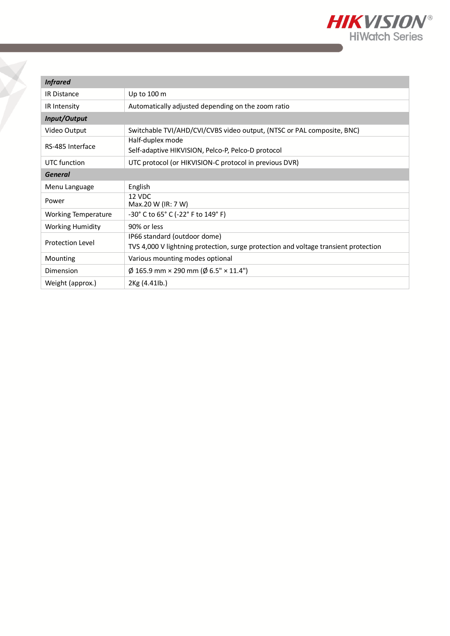

| <b>Infrared</b>         |                                                                                     |  |
|-------------------------|-------------------------------------------------------------------------------------|--|
| <b>IR Distance</b>      | Up to 100 m                                                                         |  |
| IR Intensity            | Automatically adjusted depending on the zoom ratio                                  |  |
| Input/Output            |                                                                                     |  |
| Video Output            | Switchable TVI/AHD/CVI/CVBS video output, (NTSC or PAL composite, BNC)              |  |
| RS-485 Interface        | Half-duplex mode<br>Self-adaptive HIKVISION, Pelco-P, Pelco-D protocol              |  |
| UTC function            | UTC protocol (or HIKVISION-C protocol in previous DVR)                              |  |
| General                 |                                                                                     |  |
| Menu Language           | English                                                                             |  |
| Power                   | 12 VDC<br>Max.20 W (IR: 7 W)                                                        |  |
| Working Temperature     | -30° C to 65° C (-22° F to 149° F)                                                  |  |
| <b>Working Humidity</b> | 90% or less                                                                         |  |
| <b>Protection Level</b> | IP66 standard (outdoor dome)                                                        |  |
|                         | TVS 4,000 V lightning protection, surge protection and voltage transient protection |  |
| Mounting                | Various mounting modes optional                                                     |  |
| Dimension               | $\varnothing$ 165.9 mm × 290 mm ( $\varnothing$ 6.5" × 11.4")                       |  |
| Weight (approx.)        | 2Kg (4.41lb.)                                                                       |  |